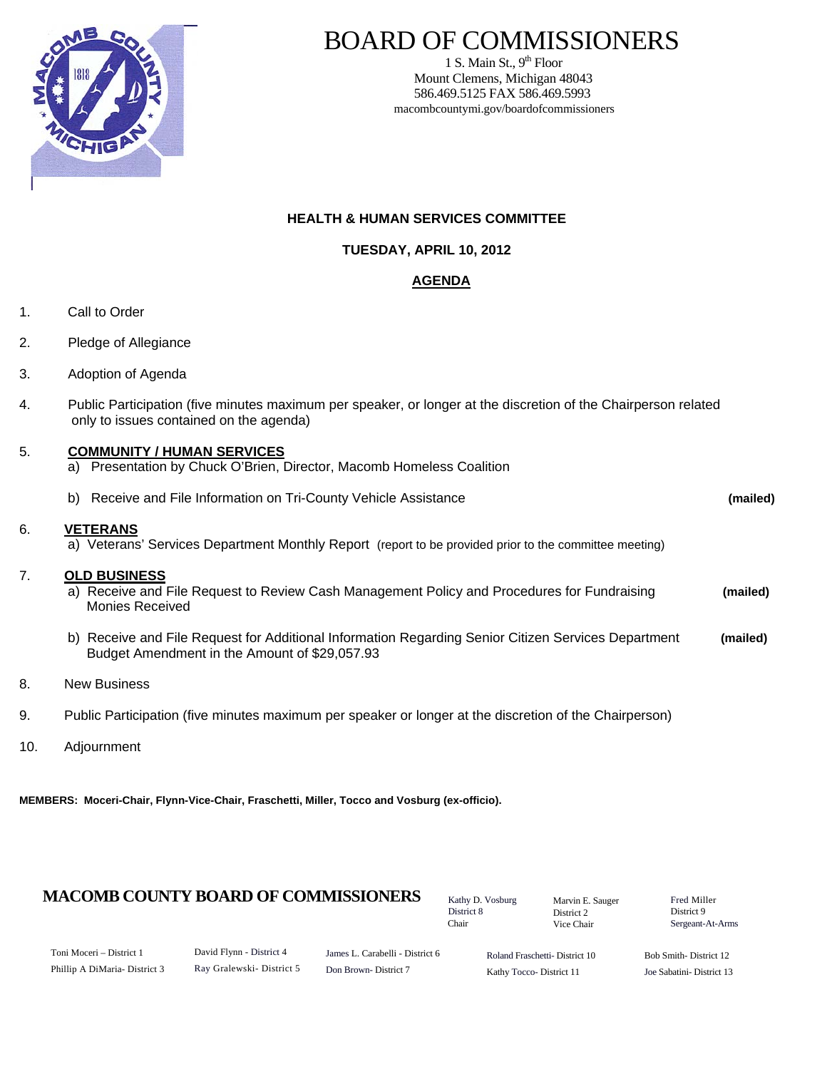

### BOARD OF COMMISSIONERS

1 S. Main St.,  $9<sup>th</sup>$  Floor Mount Clemens, Michigan 48043 586.469.5125 FAX 586.469.5993 macombcountymi.gov/boardofcommissioners

### **HEALTH & HUMAN SERVICES COMMITTEE**

**TUESDAY, APRIL 10, 2012**

### **AGENDA**

- 1. Call to Order
- 2. Pledge of Allegiance
- 3. Adoption of Agenda
- 4. Public Participation (five minutes maximum per speaker, or longer at the discretion of the Chairperson related only to issues contained on the agenda)

#### 5. **COMMUNITY / HUMAN SERVICES**

a) Presentation by Chuck O'Brien, Director, Macomb Homeless Coalition

|    | Receive and File Information on Tri-County Vehicle Assistance<br>b)                                                                                  | (mailed) |
|----|------------------------------------------------------------------------------------------------------------------------------------------------------|----------|
| 6. | <b>VETERANS</b><br>a) Veterans' Services Department Monthly Report (report to be provided prior to the committee meeting)                            |          |
| 7. | <b>OLD BUSINESS</b><br>a) Receive and File Request to Review Cash Management Policy and Procedures for Fundraising<br>Monies Received                | (mailed) |
|    | b) Receive and File Request for Additional Information Regarding Senior Citizen Services Department<br>Budget Amendment in the Amount of \$29,057.93 | (mailed) |
| 8. | <b>New Business</b>                                                                                                                                  |          |

- 9. Public Participation (five minutes maximum per speaker or longer at the discretion of the Chairperson)
- 10. Adjournment

**MEMBERS: Moceri-Chair, Flynn-Vice-Chair, Fraschetti, Miller, Tocco and Vosburg (ex-officio).** 

### **MACOMB COUNTY BOARD OF COMMISSIONERS** Kathy D. Vosburg Marvin F. Sauger Fred Miller

Kathy D. Vosburg District 8 Chair

Marvin E. Sauger District 2 Vice Chair

District 9 Sergeant-At-Arms

| Toni Moceri – District 1      |  |  |  |  |  |
|-------------------------------|--|--|--|--|--|
| Phillip A DiMaria- District 3 |  |  |  |  |  |

James L. Carabelli - District 6 Don Brown- District 7

Roland Fraschetti- District 10 Kathy Tocco- District 11

Bob Smith- District 12 Joe Sabatini- District 13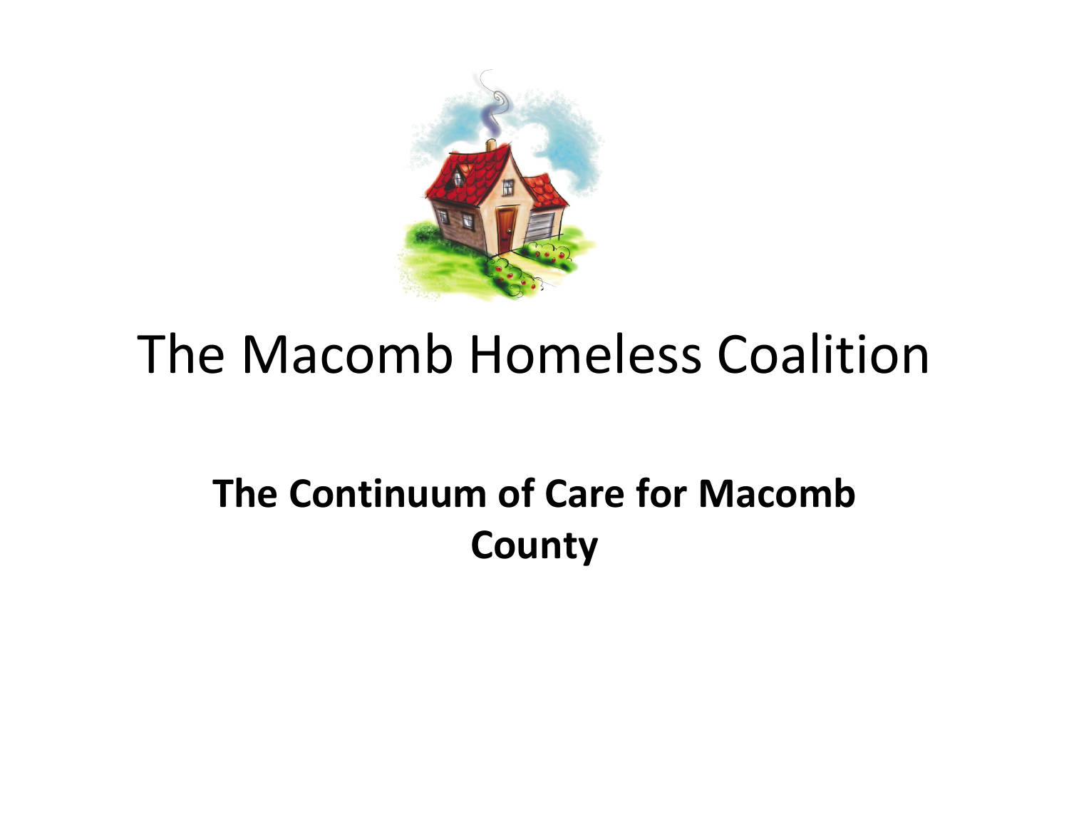

## **The Continuum of Care for Macomb County**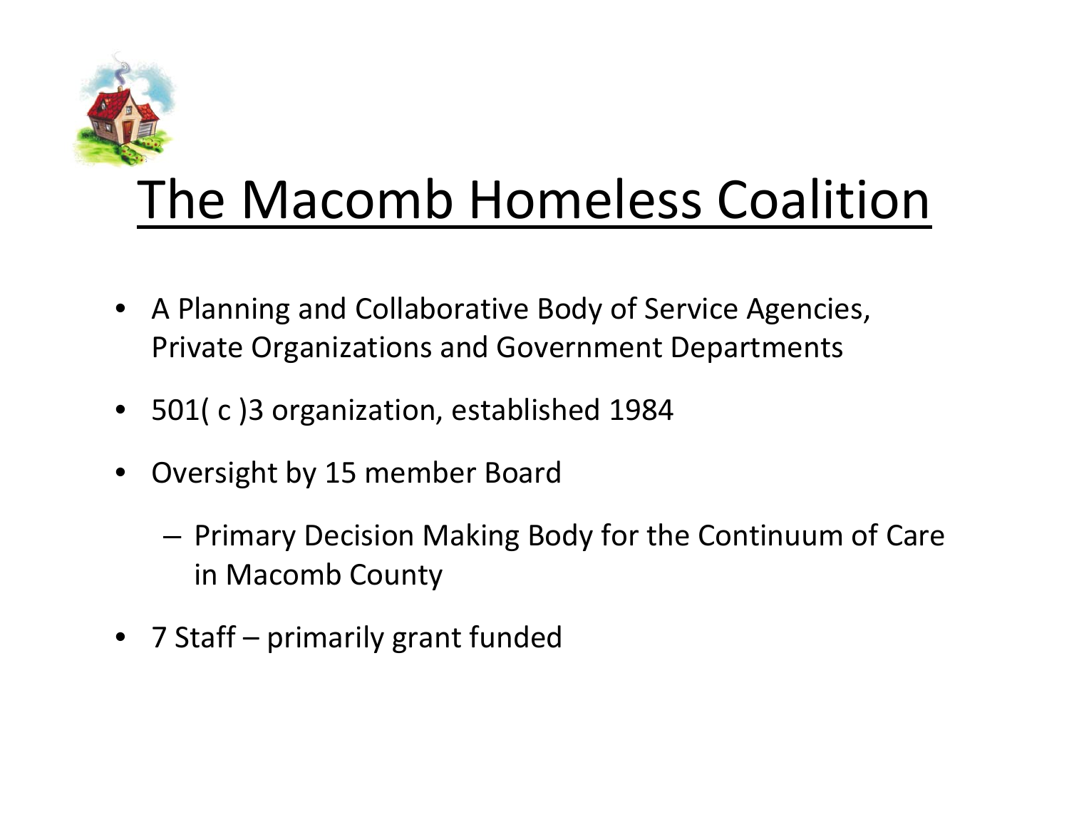

- A Planning and Collaborative Body of Service Agencies, Private Organizations and Government Departments
- 501( c )3 organization, established 1984
- Oversight by 15 member Board
	- Primary Decision Making Body for the Continuum of Care in Macomb County
- 7 Staff primarily grant funded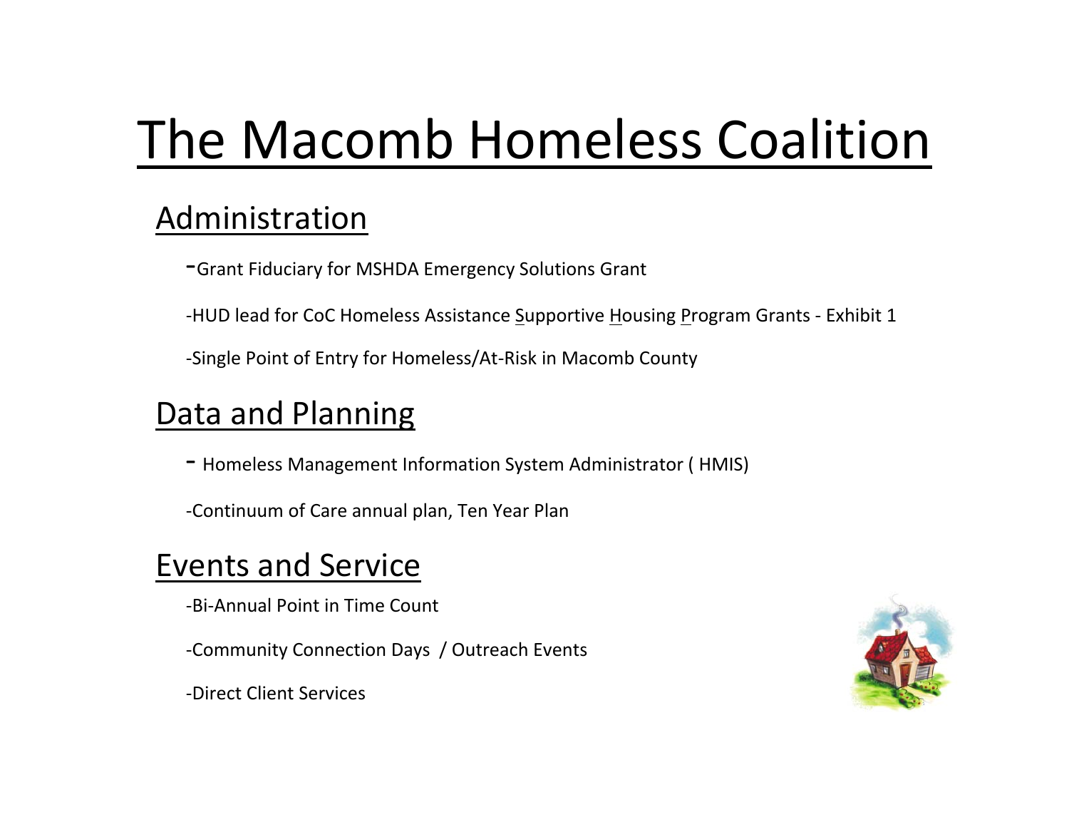### Administration

- ‐Grant Fiduciary for MSHDA Emergency Solutions Grant
- -HUD lead for CoC Homeless Assistance Supportive Housing Program Grants Exhibit 1
- ‐Single Point of Entry for Homeless/At‐Risk in Macomb County

### Data and Planning

- ‐ Homeless Management Information System Administrator ( HMIS)
- ‐Continuum of Care annual plan, Ten Year Plan

### Events and Service

- ‐Bi‐Annual Point in Time Count
- ‐Community Connection Days / Outreach Events



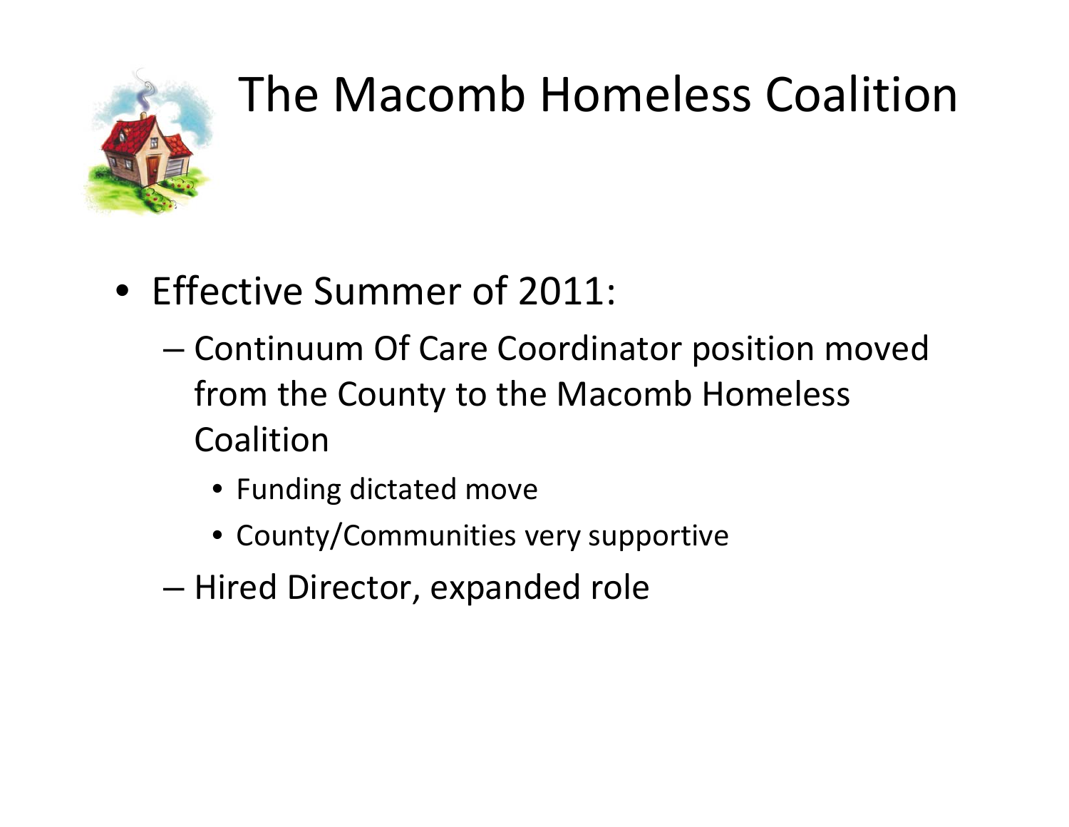

- Effective Summer of 2011:
	- Continuum Of Care Coordinator position moved from the County to the Macomb Homeless Coalition
		- Funding dictated move
		- County/Communities very supportive
	- Hired Director, expanded role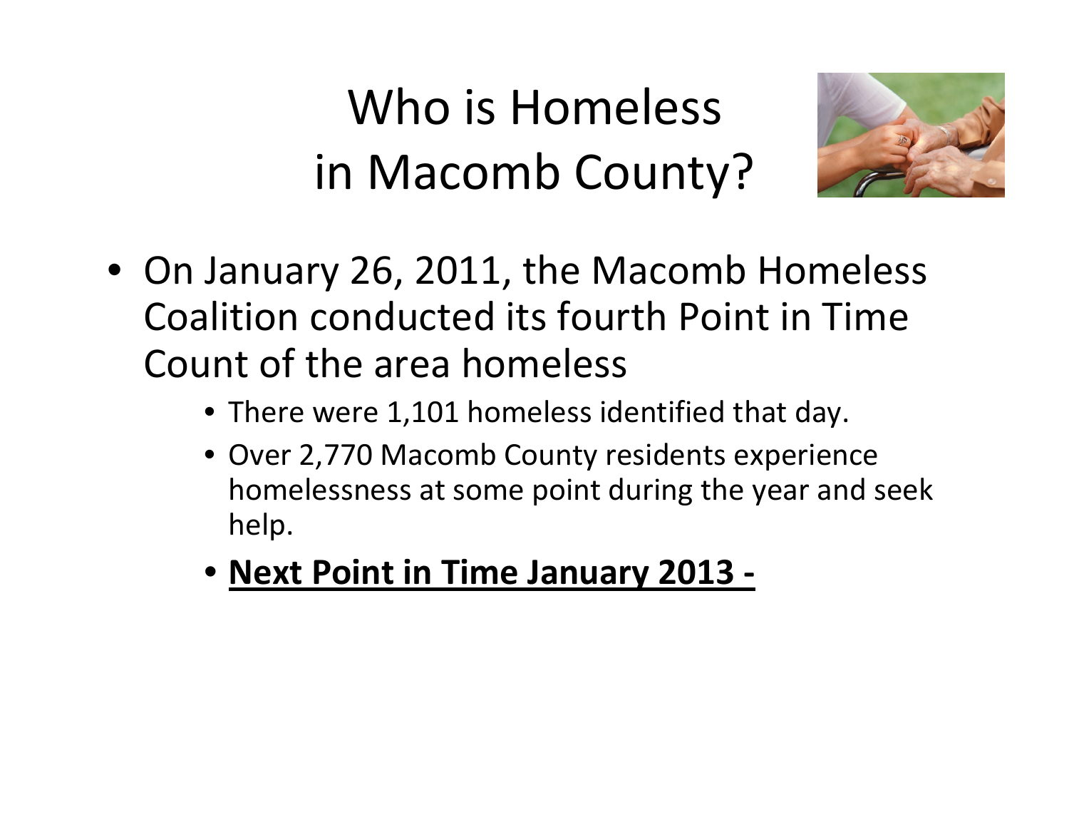Who is Homeless in Macomb County?



- On January 26, 2011, the Macomb Homeless Coalition conducted its fourth Point in Time Count of the area homeless
	- There were 1,101 homeless identified that day.
	- Over 2,770 Macomb County residents experience homelessness at some point during the year and seek help.
	- **Next Point in Time January 2013 ‐**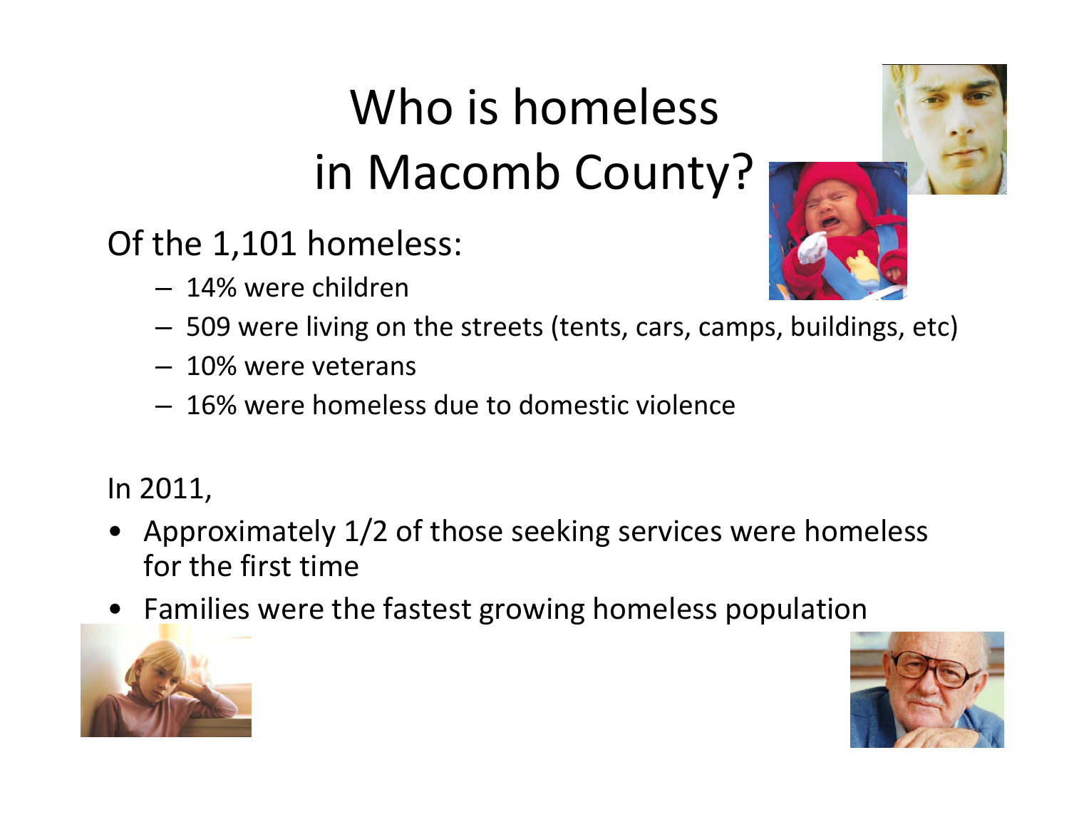# Who is homeless in Macomb County?



– 14% were children



- 509 were living on the streets (tents, cars, camps, buildings, etc)
- 10% were veterans
- 16% were homeless due to domestic violence

In 2011,

- Approximately 1/2 of those seeking services were homeless for the first time
- Families were the fastest growing homeless population



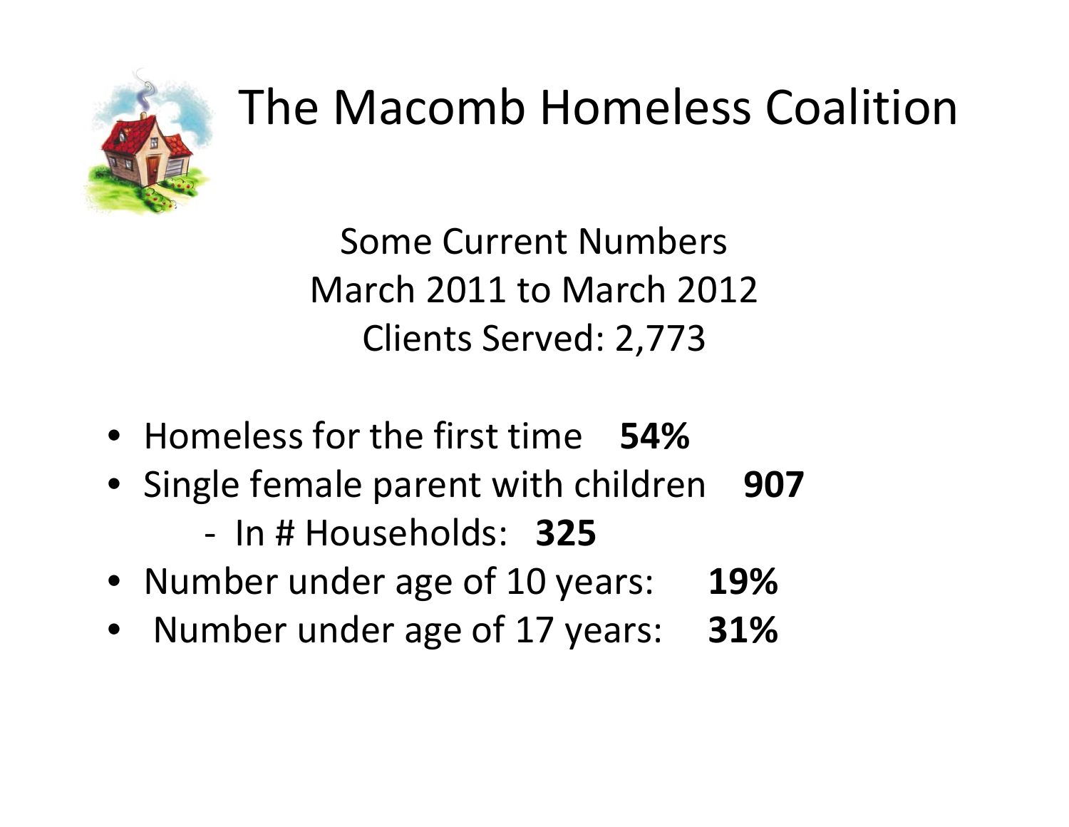

Some Current Numbers March 2011 to March 2012 Clients Served: 2,773

- Homeless for the first time **54%**
- Single female parent with children **907**
	- ‐ In # Households: **325**
- Number under age of 10 years: **19%**
- Number under age of 17 years: **31%**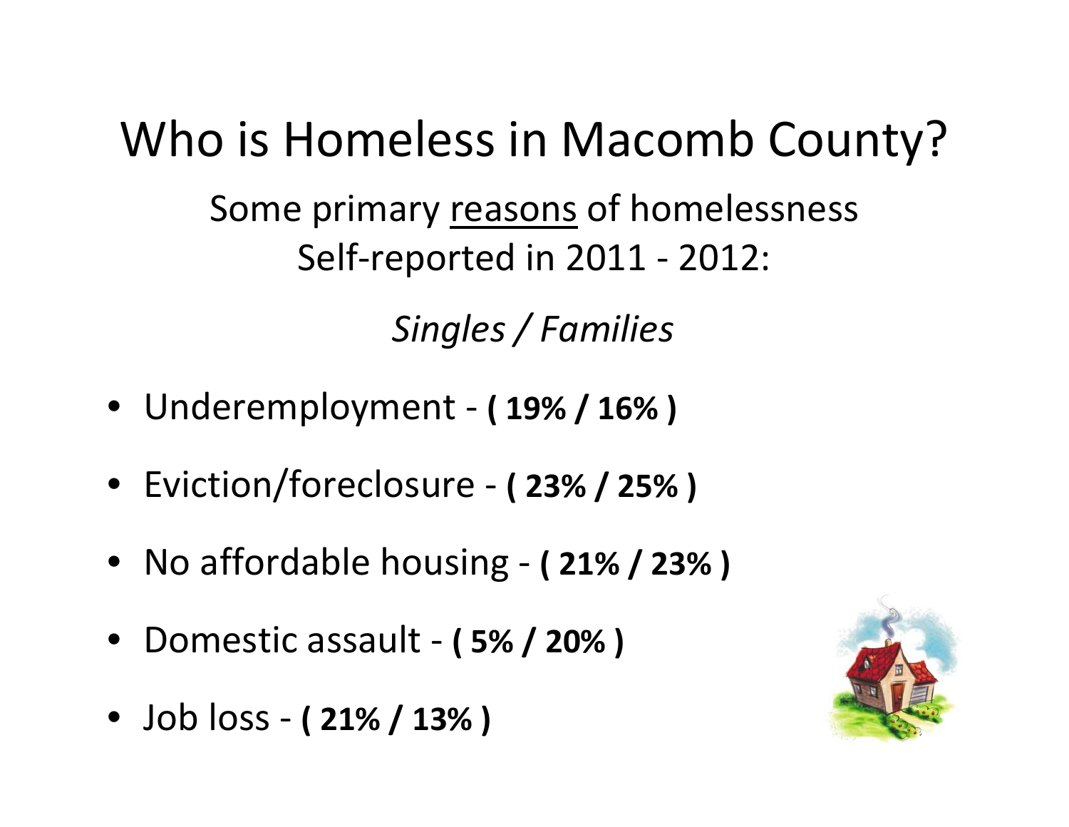## Who is Homeless in Macomb County?

Some primary <u>reasons</u> of homelessness Self‐reported in 2011 ‐ 2012:

*Singles / Families*

- Underemployment ‐ **( 19% / 16% )**
- Eviction/foreclosure ‐ **( 23% / 25% )**
- No affordable housing ‐ **( 21% / 23% )**
- Domestic assault ‐ **( 5% / 20% )**
- Job loss ‐ **( 21% / 13% )**

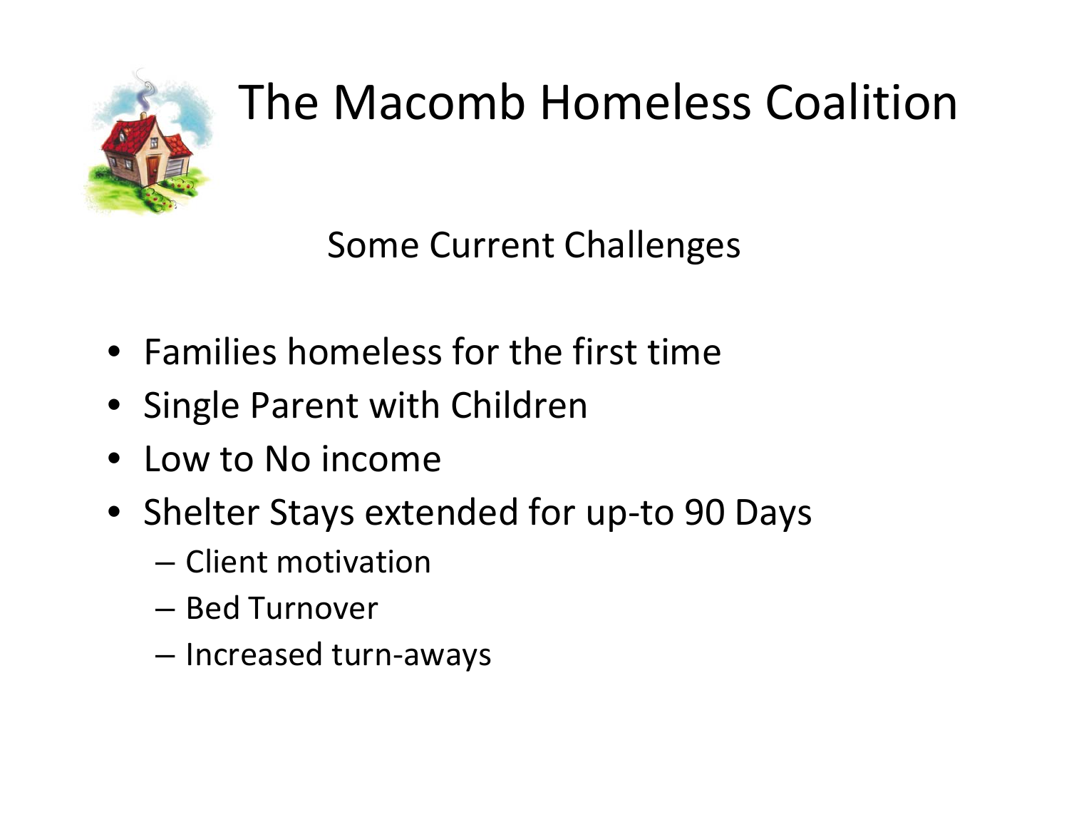

Some Current Challenges

- Families homeless for the first time
- Single Parent with Children
- Low to No income
- Shelter Stays extended for up‐to 90 Days
	- Client motivation
	- Bed Turnover
	- Increased turn‐aways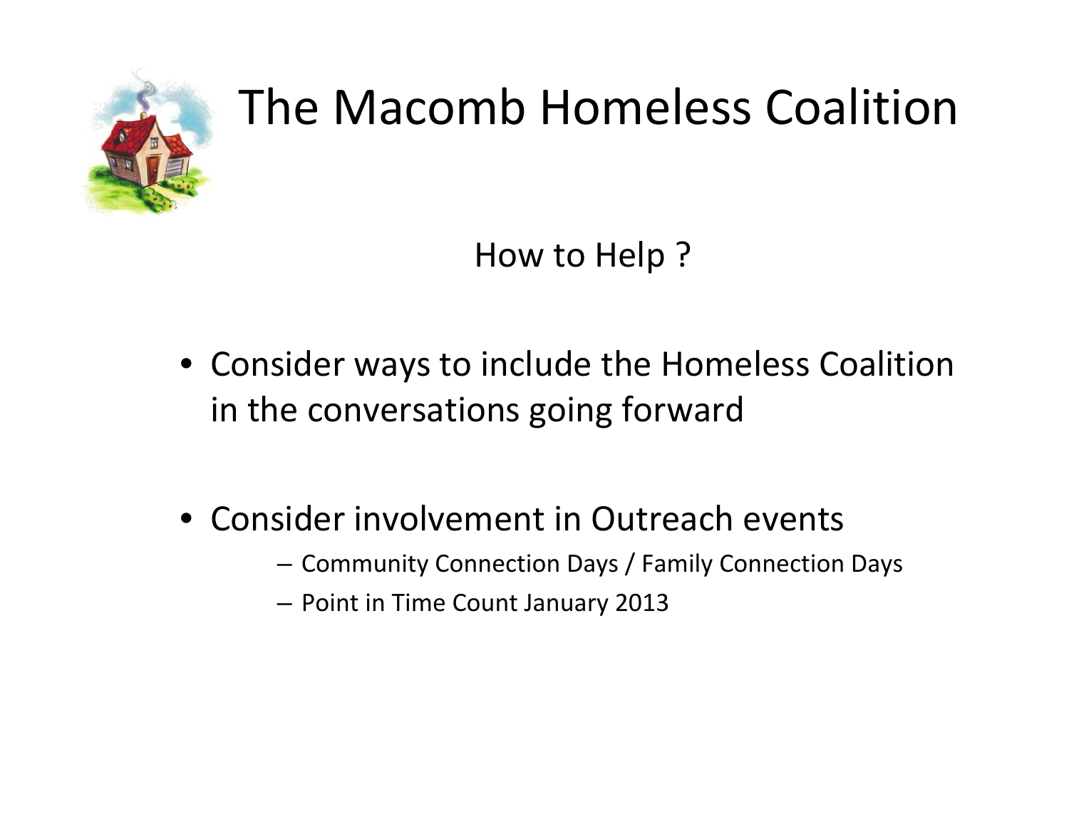

How to Help ?

- Consider ways to include the Homeless Coalition in the conversations going forward
- Consider involvement in Outreach events
	- Community Connection Days / Family Connection Days
	- Point in Time Count January 2013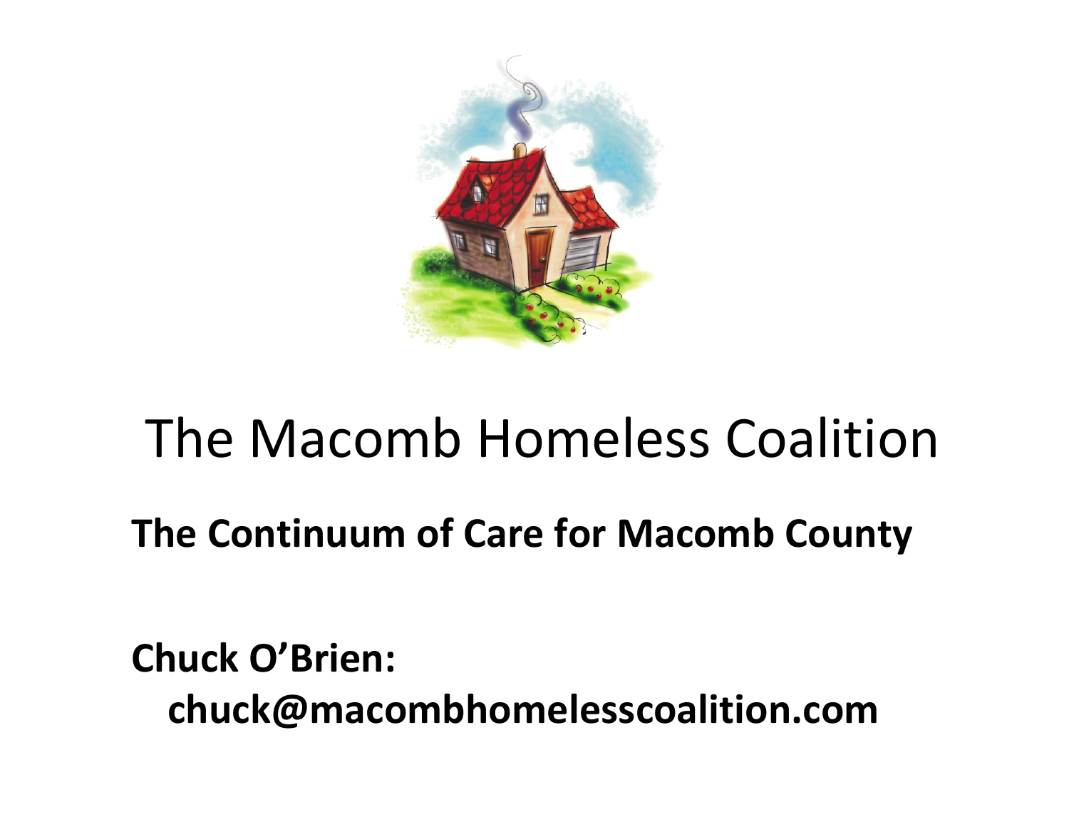

## **The Continuum of Care for Macomb County**

**Chuck O'Brien: chuck@macombhomelesscoalition.com**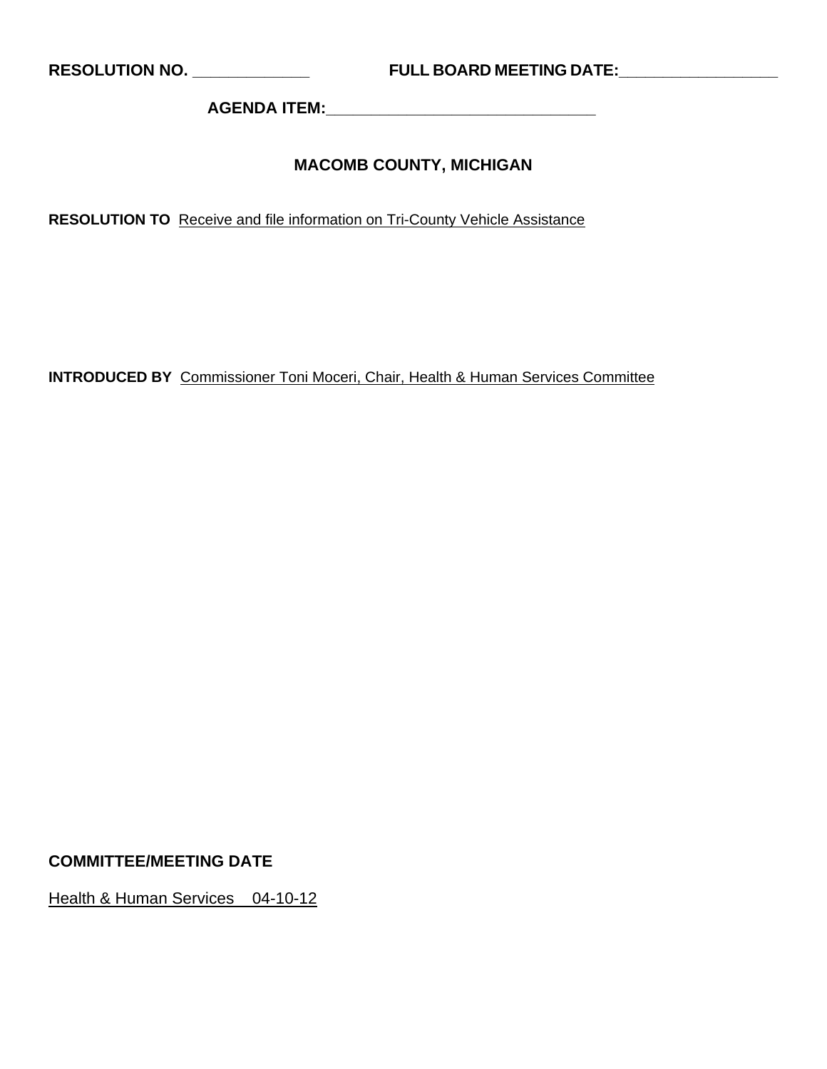**RESOLUTION NO. \_\_\_\_\_\_\_\_\_\_\_\_\_ FULL BOARD MEETING DATE:\_\_\_\_\_\_\_\_\_\_\_\_\_\_\_\_\_\_** 

**AGENDA ITEM:\_\_\_\_\_\_\_\_\_\_\_\_\_\_\_\_\_\_\_\_\_\_\_\_\_\_\_\_\_\_** 

### **MACOMB COUNTY, MICHIGAN**

**RESOLUTION TO** Receive and file information on Tri-County Vehicle Assistance

**INTRODUCED BY** Commissioner Toni Moceri, Chair, Health & Human Services Committee

**COMMITTEE/MEETING DATE** 

Health & Human Services 04-10-12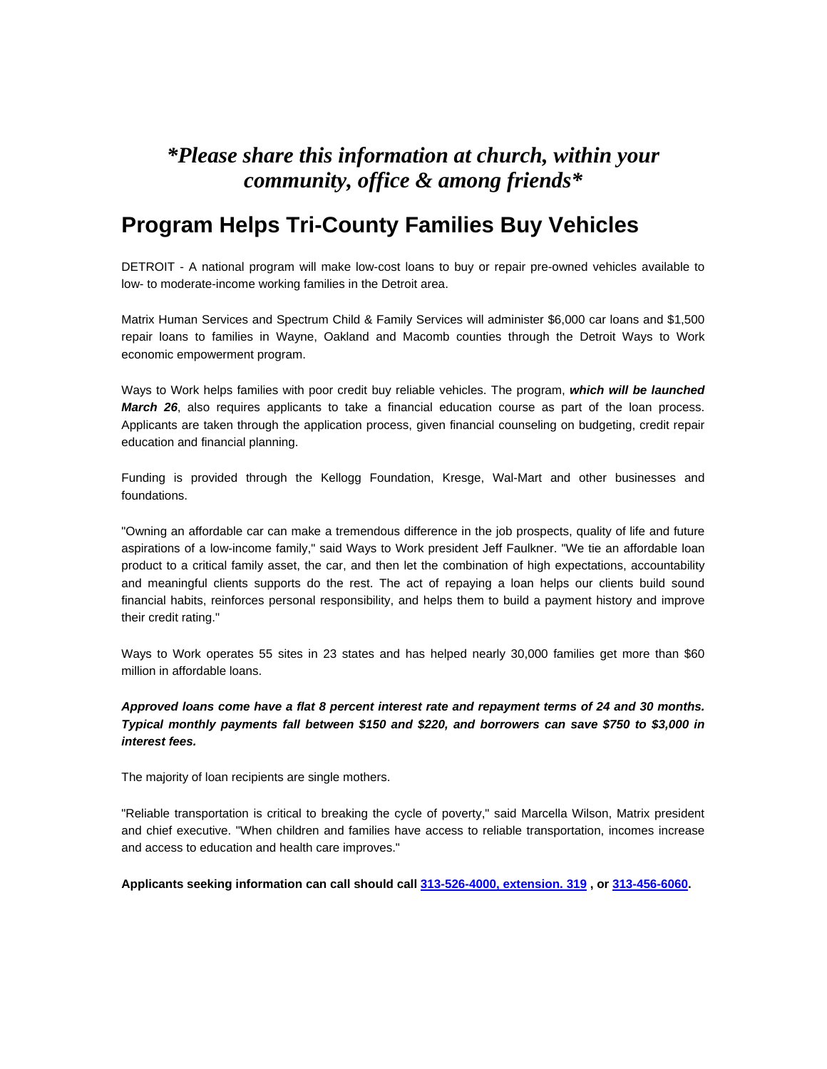### *\*Please share this information at church, within your community, office & among friends\**

### **Program Helps Tri-County Families Buy Vehicles**

DETROIT - A national program will make low-cost loans to buy or repair pre-owned vehicles available to low- to moderate-income working families in the Detroit area.

Matrix Human Services and Spectrum Child & Family Services will administer \$6,000 car loans and \$1,500 repair loans to families in Wayne, Oakland and Macomb counties through the Detroit Ways to Work economic empowerment program.

Ways to Work helps families with poor credit buy reliable vehicles. The program, *which will be launched March 26*, also requires applicants to take a financial education course as part of the loan process. Applicants are taken through the application process, given financial counseling on budgeting, credit repair education and financial planning.

Funding is provided through the Kellogg Foundation, Kresge, Wal-Mart and other businesses and foundations.

"Owning an affordable car can make a tremendous difference in the job prospects, quality of life and future aspirations of a low-income family," said Ways to Work president Jeff Faulkner. "We tie an affordable loan product to a critical family asset, the car, and then let the combination of high expectations, accountability and meaningful clients supports do the rest. The act of repaying a loan helps our clients build sound financial habits, reinforces personal responsibility, and helps them to build a payment history and improve their credit rating."

Ways to Work operates 55 sites in 23 states and has helped nearly 30,000 families get more than \$60 million in affordable loans.

#### *Approved loans come have a flat 8 percent interest rate and repayment terms of 24 and 30 months. Typical monthly payments fall between \$150 and \$220, and borrowers can save \$750 to \$3,000 in interest fees.*

The majority of loan recipients are single mothers.

"Reliable transportation is critical to breaking the cycle of poverty," said Marcella Wilson, Matrix president and chief executive. "When children and families have access to reliable transportation, incomes increase and access to education and health care improves."

**Applicants seeking information can call should call 313-526-4000, extension. 319 , or 313-456-6060.**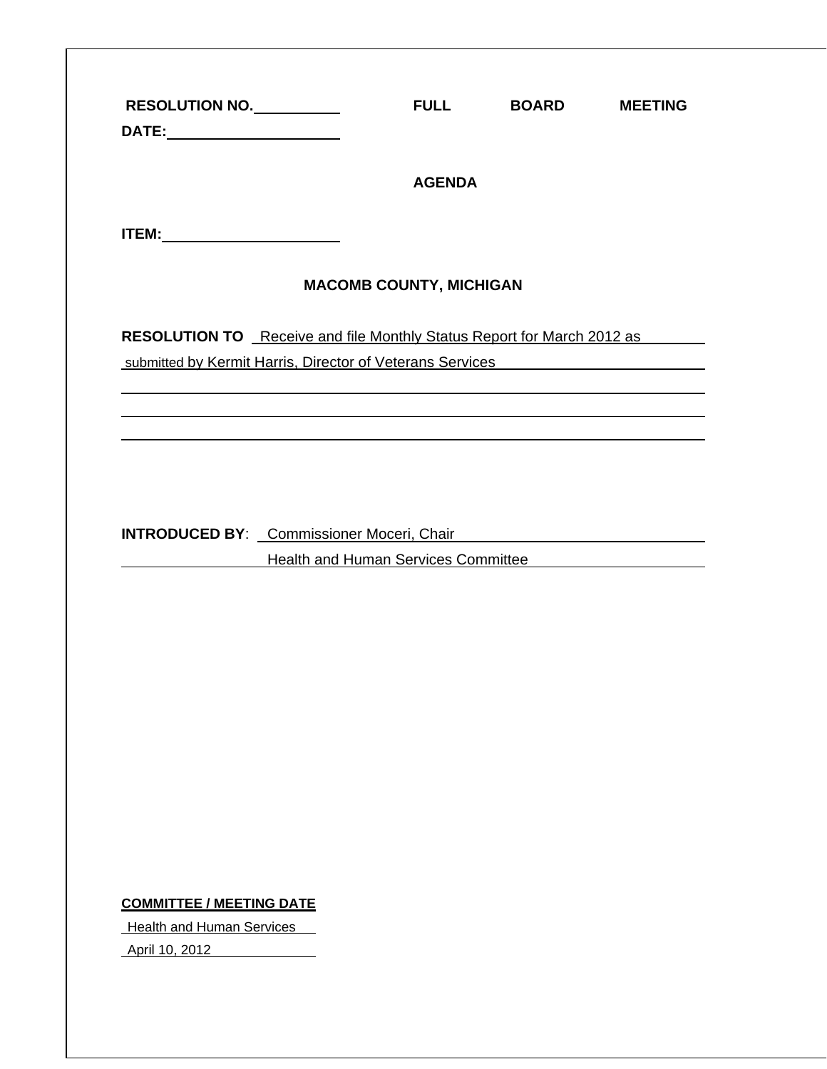|                                        |                                                                                                                        | <b>AGENDA</b>                                                                    |  |
|----------------------------------------|------------------------------------------------------------------------------------------------------------------------|----------------------------------------------------------------------------------|--|
| <b>ITEM:__________________________</b> |                                                                                                                        |                                                                                  |  |
|                                        |                                                                                                                        | <b>MACOMB COUNTY, MICHIGAN</b>                                                   |  |
|                                        | RESOLUTION TO Receive and file Monthly Status Report for March 2012 as                                                 |                                                                                  |  |
|                                        | submitted by Kermit Harris, Director of Veterans Services                                                              |                                                                                  |  |
|                                        | <u> 1989 - Johann Stoff, deutscher Stoffen und der Stoffen und der Stoffen und der Stoffen und der Stoffen und der</u> |                                                                                  |  |
|                                        |                                                                                                                        | ,我们也不会有什么。""我们的人,我们也不会有什么?""我们的人,我们也不会有什么?""我们的人,我们也不会有什么?""我们的人,我们也不会有什么?""我们的人 |  |
|                                        |                                                                                                                        |                                                                                  |  |
|                                        |                                                                                                                        |                                                                                  |  |
|                                        |                                                                                                                        |                                                                                  |  |
|                                        |                                                                                                                        |                                                                                  |  |
|                                        | INTRODUCED BY: Commissioner Moceri, Chair Chair Chair Chair Chair Chair Chair Chair Chair Chair Chair Chair Chair      | Health and Human Services Committee                                              |  |
|                                        |                                                                                                                        |                                                                                  |  |
|                                        |                                                                                                                        |                                                                                  |  |
|                                        |                                                                                                                        |                                                                                  |  |
|                                        |                                                                                                                        |                                                                                  |  |
|                                        |                                                                                                                        |                                                                                  |  |
|                                        |                                                                                                                        |                                                                                  |  |
|                                        |                                                                                                                        |                                                                                  |  |
|                                        |                                                                                                                        |                                                                                  |  |
|                                        |                                                                                                                        |                                                                                  |  |
|                                        |                                                                                                                        |                                                                                  |  |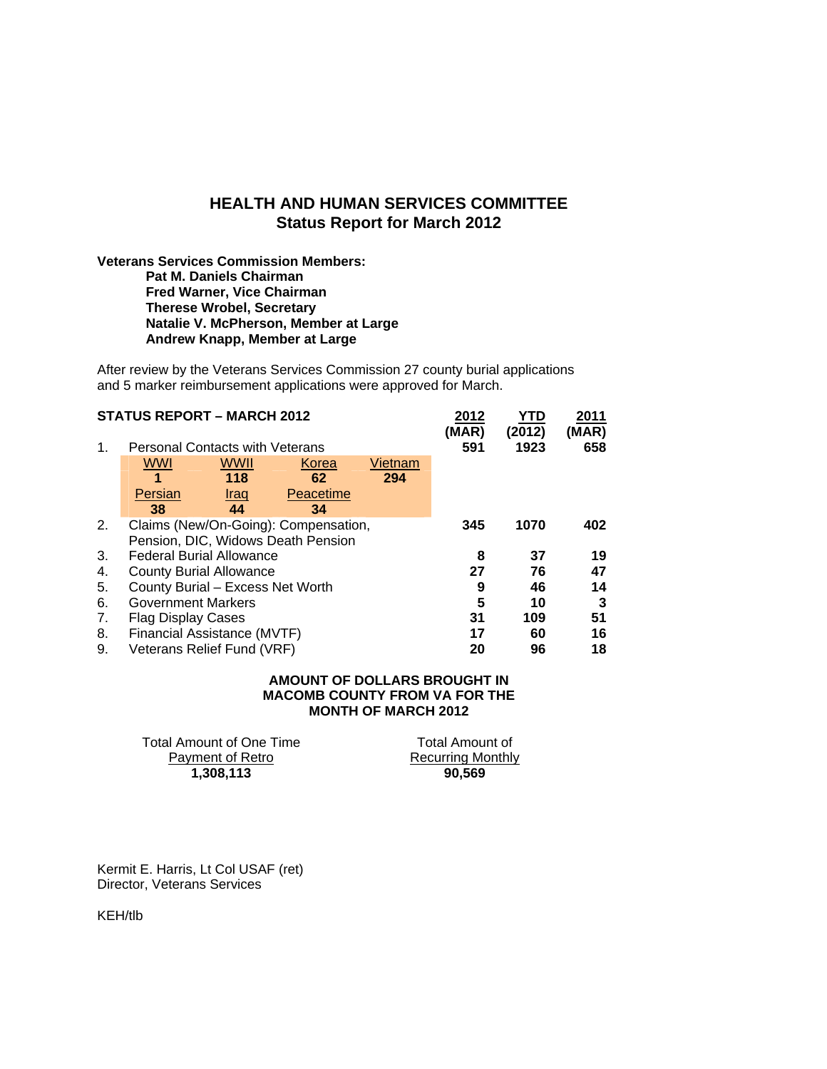### **HEALTH AND HUMAN SERVICES COMMITTEE Status Report for March 2012**

#### **Veterans Services Commission Members: Pat M. Daniels Chairman Fred Warner, Vice Chairman Therese Wrobel, Secretary Natalie V. McPherson, Member at Large Andrew Knapp, Member at Large**

After review by the Veterans Services Commission 27 county burial applications and 5 marker reimbursement applications were approved for March.

|    | <b>STATUS REPORT - MARCH 2012</b>      |                            |                                      |         | 2012<br>(MAR) | YTD<br>(2012) | 2011<br>(MAR) |
|----|----------------------------------------|----------------------------|--------------------------------------|---------|---------------|---------------|---------------|
| 1. | <b>Personal Contacts with Veterans</b> |                            |                                      |         | 591           | 1923          | 658           |
|    | <b>WWI</b>                             | <b>WWII</b>                | Korea                                | Vietnam |               |               |               |
|    | 1                                      | 118                        | 62                                   | 294     |               |               |               |
|    | Persian                                | <u>Iraq</u>                | Peacetime                            |         |               |               |               |
|    | 38                                     | 44                         | 34                                   |         |               |               |               |
| 2. |                                        |                            | Claims (New/On-Going): Compensation, |         | 345           | 1070          | 402           |
|    |                                        |                            | Pension, DIC, Widows Death Pension   |         |               |               |               |
| 3. | <b>Federal Burial Allowance</b>        |                            |                                      |         | 8             | 37            | 19            |
| 4. | <b>County Burial Allowance</b>         |                            |                                      |         | 27            | 76            | 47            |
| 5. | County Burial - Excess Net Worth       |                            |                                      |         | 9             | 46            | 14            |
| 6. | <b>Government Markers</b>              |                            |                                      |         | 5             | 10            | 3             |
| 7. | <b>Flag Display Cases</b>              |                            |                                      |         | 31            | 109           | 51            |
| 8. | Financial Assistance (MVTF)            |                            |                                      |         | 17            | 60            | 16            |
| 9. |                                        | Veterans Relief Fund (VRF) |                                      |         | 20            | 96            | 18            |

#### **AMOUNT OF DOLLARS BROUGHT IN MACOMB COUNTY FROM VA FOR THE MONTH OF MARCH 2012**

Total Amount of One Time Payment of Retro **1,308,113 90,569** 

Total Amount of Recurring Monthly

Kermit E. Harris, Lt Col USAF (ret) Director, Veterans Services

KEH/tlb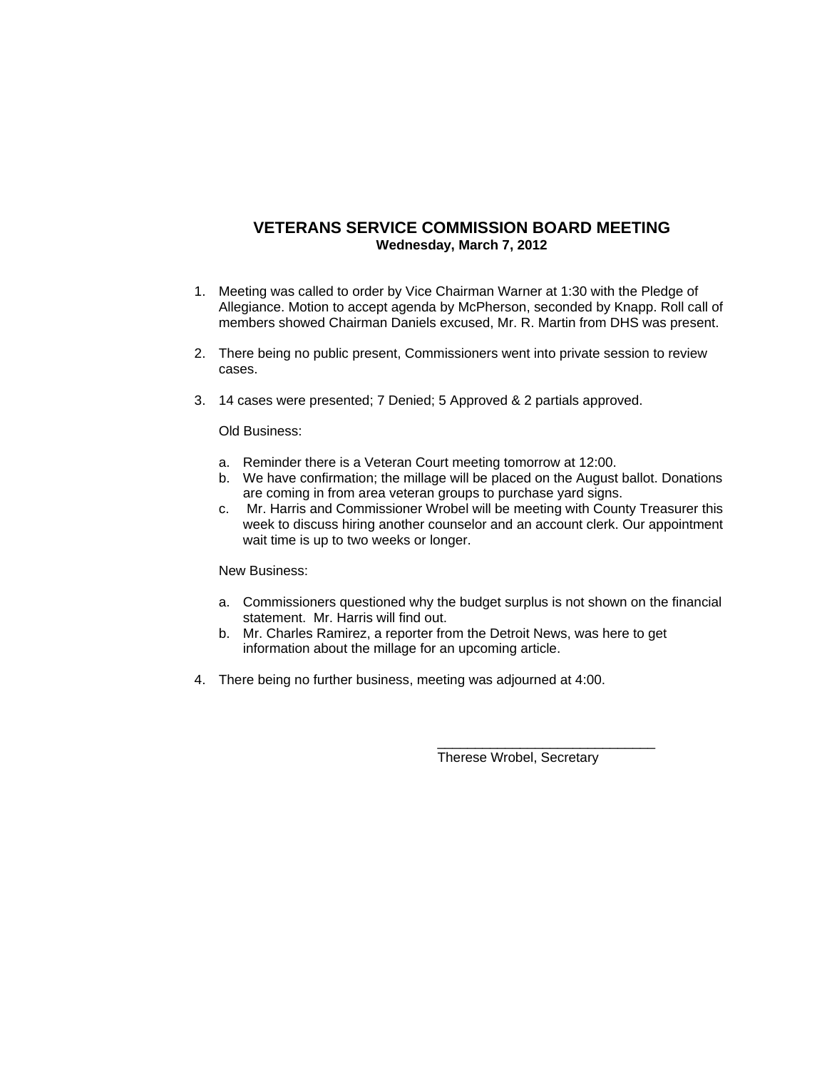### **VETERANS SERVICE COMMISSION BOARD MEETING Wednesday, March 7, 2012**

- 1. Meeting was called to order by Vice Chairman Warner at 1:30 with the Pledge of Allegiance. Motion to accept agenda by McPherson, seconded by Knapp. Roll call of members showed Chairman Daniels excused, Mr. R. Martin from DHS was present.
- 2. There being no public present, Commissioners went into private session to review cases.
- 3. 14 cases were presented; 7 Denied; 5 Approved & 2 partials approved.

#### Old Business:

- a. Reminder there is a Veteran Court meeting tomorrow at 12:00.
- b. We have confirmation; the millage will be placed on the August ballot. Donations are coming in from area veteran groups to purchase yard signs.
- c. Mr. Harris and Commissioner Wrobel will be meeting with County Treasurer this week to discuss hiring another counselor and an account clerk. Our appointment wait time is up to two weeks or longer.

#### New Business:

- a. Commissioners questioned why the budget surplus is not shown on the financial statement. Mr. Harris will find out.
- b. Mr. Charles Ramirez, a reporter from the Detroit News, was here to get information about the millage for an upcoming article.
- 4. There being no further business, meeting was adjourned at 4:00.

Therese Wrobel, Secretary

\_\_\_\_\_\_\_\_\_\_\_\_\_\_\_\_\_\_\_\_\_\_\_\_\_\_\_\_\_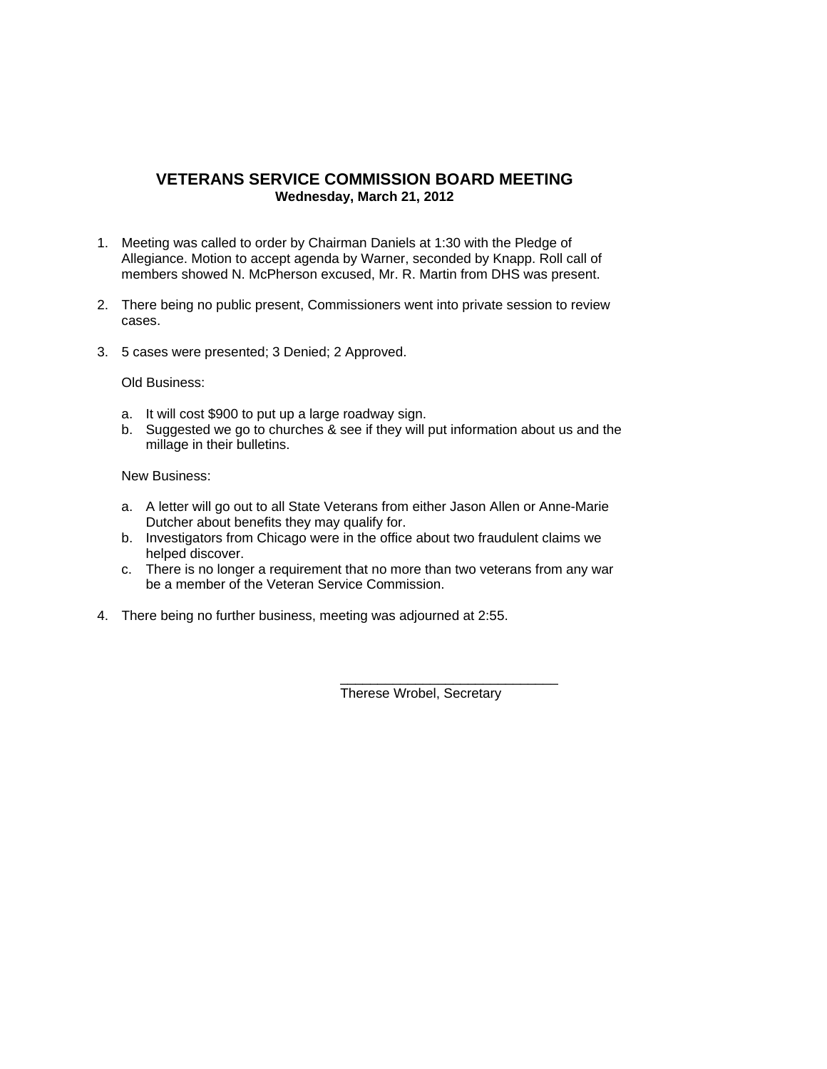### **VETERANS SERVICE COMMISSION BOARD MEETING Wednesday, March 21, 2012**

- 1. Meeting was called to order by Chairman Daniels at 1:30 with the Pledge of Allegiance. Motion to accept agenda by Warner, seconded by Knapp. Roll call of members showed N. McPherson excused, Mr. R. Martin from DHS was present.
- 2. There being no public present, Commissioners went into private session to review cases.
- 3. 5 cases were presented; 3 Denied; 2 Approved.

Old Business:

- a. It will cost \$900 to put up a large roadway sign.
- b. Suggested we go to churches & see if they will put information about us and the millage in their bulletins.

New Business:

- a. A letter will go out to all State Veterans from either Jason Allen or Anne-Marie Dutcher about benefits they may qualify for.
- b. Investigators from Chicago were in the office about two fraudulent claims we helped discover.
- c. There is no longer a requirement that no more than two veterans from any war be a member of the Veteran Service Commission.
- 4. There being no further business, meeting was adjourned at 2:55.

\_\_\_\_\_\_\_\_\_\_\_\_\_\_\_\_\_\_\_\_\_\_\_\_\_\_\_\_\_ Therese Wrobel, Secretary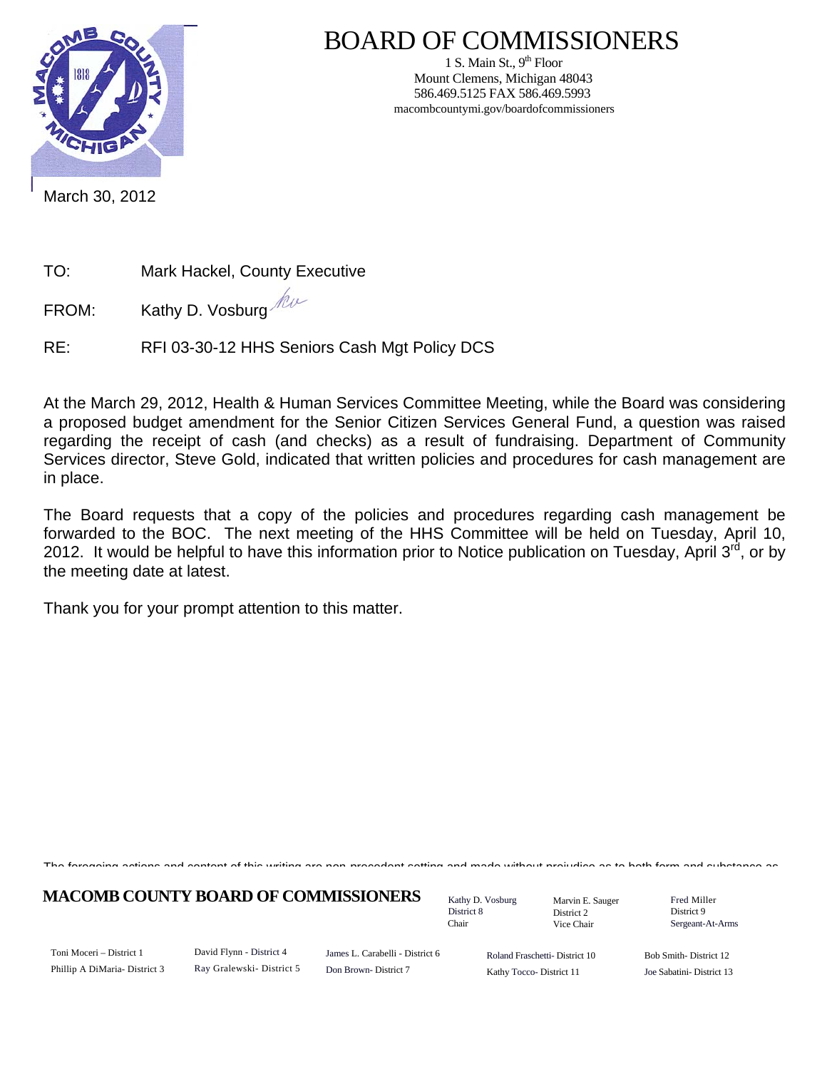

### BOARD OF COMMISSIONERS

1 S. Main St.,  $9<sup>th</sup>$  Floor Mount Clemens, Michigan 48043 586.469.5125 FAX 586.469.5993 macombcountymi.gov/boardofcommissioners

March 30, 2012

TO: Mark Hackel, County Executive

FROM: Kathy D. Vosburg

RE: RFI 03-30-12 HHS Seniors Cash Mgt Policy DCS

At the March 29, 2012, Health & Human Services Committee Meeting, while the Board was considering a proposed budget amendment for the Senior Citizen Services General Fund, a question was raised regarding the receipt of cash (and checks) as a result of fundraising. Department of Community Services director, Steve Gold, indicated that written policies and procedures for cash management are in place.

The Board requests that a copy of the policies and procedures regarding cash management be forwarded to the BOC. The next meeting of the HHS Committee will be held on Tuesday. April 10, 2012. It would be helpful to have this information prior to Notice publication on Tuesday, April 3rd, or by the meeting date at latest.

Thank you for your prompt attention to this matter.

The foregoing actions and content of this writing are non precedent setting and made without prejudice as to both form and substance as

**MACOMB COUNTY BOARD OF COMMISSIONERS** Fathy D. Vosburg Martin E. Square Fred Miller

Kathy D. Vosburg District 8 Chair

Marvin E. Sauger District 2 Vice Chair

District 9 Sergeant-At-Arms

Toni Moceri – District 1 Phillip A DiMaria- District 3 David Flynn - District 4 Ray Gralewski- District 5 James L. Carabelli - District 6 Don Brown- District 7

Roland Fraschetti- District 10 Kathy Tocco- District 11

Bob Smith- District 12 Joe Sabatini- District 13